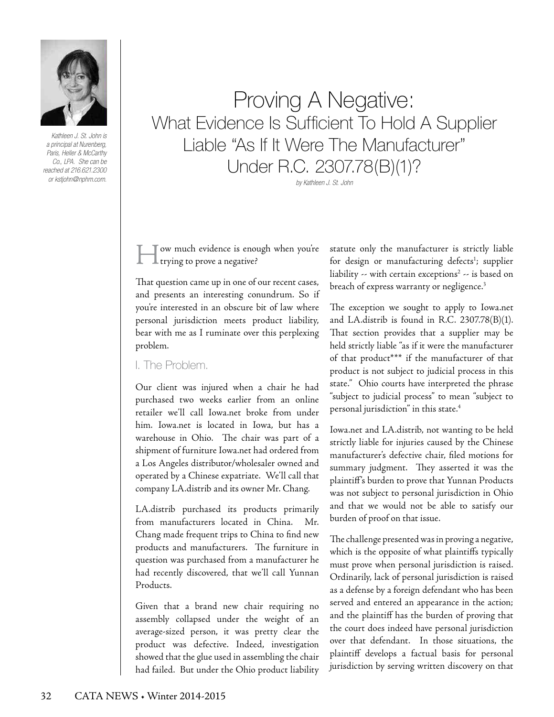

*Kathleen J. St. John is a principal at Nurenberg, Paris, Heller & McCarthy Co., LPA. She can be reached at 216.621.2300 or kstjohn@nphm.com.*

## Proving A Negative: What Evidence Is Sufficient To Hold A Supplier Liable "As If It Were The Manufacturer" Under R.C. 2307.78(B)(1)?

*by Kathleen J. St. John*

How much evidence is enough when you're L trying to prove a negative?

That question came up in one of our recent cases, and presents an interesting conundrum. So if you're interested in an obscure bit of law where personal jurisdiction meets product liability, bear with me as I ruminate over this perplexing problem.

I. The Problem.

Our client was injured when a chair he had purchased two weeks earlier from an online retailer we'll call Iowa.net broke from under him. Iowa.net is located in Iowa, but has a warehouse in Ohio. The chair was part of a shipment of furniture Iowa.net had ordered from a Los Angeles distributor/wholesaler owned and operated by a Chinese expatriate. We'll call that company LA.distrib and its owner Mr. Chang.

LA.distrib purchased its products primarily from manufacturers located in China. Mr. Chang made frequent trips to China to find new products and manufacturers. The furniture in question was purchased from a manufacturer he had recently discovered, that we'll call Yunnan Products.

Given that a brand new chair requiring no assembly collapsed under the weight of an average-sized person, it was pretty clear the product was defective. Indeed, investigation showed that the glue used in assembling the chair had failed. But under the Ohio product liability statute only the manufacturer is strictly liable for design or manufacturing defects<sup>1</sup>; supplier liability -- with certain exceptions<sup>2</sup> -- is based on breach of express warranty or negligence.<sup>3</sup>

The exception we sought to apply to Iowa.net and LA.distrib is found in R.C. 2307.78(B)(1). That section provides that a supplier may be held strictly liable "as if it were the manufacturer of that product\*\*\* if the manufacturer of that product is not subject to judicial process in this state." Ohio courts have interpreted the phrase "subject to judicial process" to mean "subject to personal jurisdiction" in this state.4

Iowa.net and LA.distrib, not wanting to be held strictly liable for injuries caused by the Chinese manufacturer's defective chair, filed motions for summary judgment. They asserted it was the plaintiff's burden to prove that Yunnan Products was not subject to personal jurisdiction in Ohio and that we would not be able to satisfy our burden of proof on that issue.

The challenge presented was in proving a negative, which is the opposite of what plaintiffs typically must prove when personal jurisdiction is raised. Ordinarily, lack of personal jurisdiction is raised as a defense by a foreign defendant who has been served and entered an appearance in the action; and the plaintiff has the burden of proving that the court does indeed have personal jurisdiction over that defendant. In those situations, the plaintiff develops a factual basis for personal jurisdiction by serving written discovery on that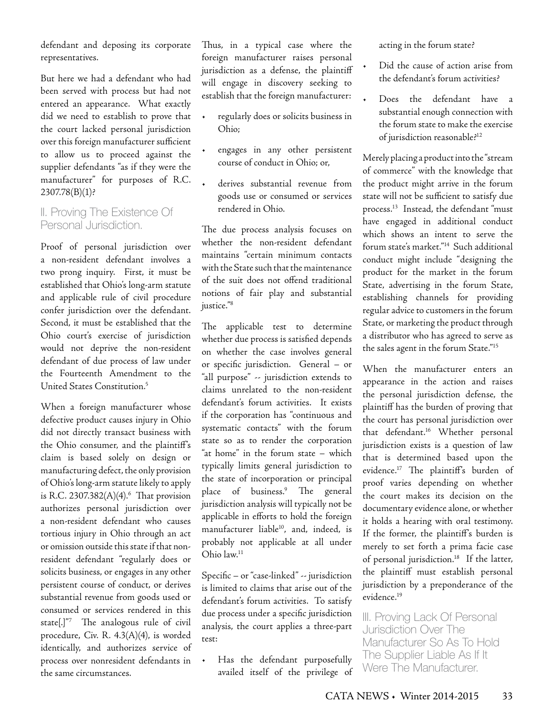defendant and deposing its corporate representatives.

But here we had a defendant who had been served with process but had not entered an appearance. What exactly did we need to establish to prove that the court lacked personal jurisdiction over this foreign manufacturer sufficient to allow us to proceed against the supplier defendants "as if they were the manufacturer" for purposes of R.C.  $2307.78(B)(1)$ ?

## II. Proving The Existence Of Personal Jurisdiction.

Proof of personal jurisdiction over a non-resident defendant involves a two prong inquiry. First, it must be established that Ohio's long-arm statute and applicable rule of civil procedure confer jurisdiction over the defendant. Second, it must be established that the Ohio court's exercise of jurisdiction would not deprive the non-resident defendant of due process of law under the Fourteenth Amendment to the United States Constitution.5

When a foreign manufacturer whose defective product causes injury in Ohio did not directly transact business with the Ohio consumer, and the plaintiff's claim is based solely on design or manufacturing defect, the only provision of Ohio's long-arm statute likely to apply is R.C. 2307.382(A)(4).6 That provision authorizes personal jurisdiction over a non-resident defendant who causes tortious injury in Ohio through an act or omission outside this state if that nonresident defendant "regularly does or solicits business, or engages in any other persistent course of conduct, or derives substantial revenue from goods used or consumed or services rendered in this state[.]"7 The analogous rule of civil procedure, Civ. R. 4.3(A)(4), is worded identically, and authorizes service of process over nonresident defendants in the same circumstances.

Thus, in a typical case where the foreign manufacturer raises personal jurisdiction as a defense, the plaintiff will engage in discovery seeking to establish that the foreign manufacturer:

- regularly does or solicits business in Ohio;
- engages in any other persistent course of conduct in Ohio; or,
- derives substantial revenue from goods use or consumed or services rendered in Ohio.

The due process analysis focuses on whether the non-resident defendant maintains "certain minimum contacts with the State such that the maintenance of the suit does not offend traditional notions of fair play and substantial justice."8

The applicable test to determine whether due process is satisfied depends on whether the case involves general or specific jurisdiction. General – or "all purpose" -- jurisdiction extends to claims unrelated to the non-resident defendant's forum activities. It exists if the corporation has "continuous and systematic contacts" with the forum state so as to render the corporation "at home" in the forum state – which typically limits general jurisdiction to the state of incorporation or principal place of business.9 The general jurisdiction analysis will typically not be applicable in efforts to hold the foreign manufacturer liable<sup>10</sup>, and, indeed, is probably not applicable at all under Ohio law.11

Specific – or "case-linked" -- jurisdiction is limited to claims that arise out of the defendant's forum activities. To satisfy due process under a specific jurisdiction analysis, the court applies a three-part test:

Has the defendant purposefully availed itself of the privilege of acting in the forum state?

- Did the cause of action arise from the defendant's forum activities?
- Does the defendant have a substantial enough connection with the forum state to make the exercise of jurisdiction reasonable?12

Merely placing a product into the "stream of commerce" with the knowledge that the product might arrive in the forum state will not be sufficient to satisfy due process.13 Instead, the defendant "must have engaged in additional conduct which shows an intent to serve the forum state's market."14 Such additional conduct might include "designing the product for the market in the forum State, advertising in the forum State, establishing channels for providing regular advice to customers in the forum State, or marketing the product through a distributor who has agreed to serve as the sales agent in the forum State."15

When the manufacturer enters an appearance in the action and raises the personal jurisdiction defense, the plaintiff has the burden of proving that the court has personal jurisdiction over that defendant.16 Whether personal jurisdiction exists is a question of law that is determined based upon the evidence.17 The plaintiff's burden of proof varies depending on whether the court makes its decision on the documentary evidence alone, or whether it holds a hearing with oral testimony. If the former, the plaintiff's burden is merely to set forth a prima facie case of personal jurisdiction.<sup>18</sup> If the latter, the plaintiff must establish personal jurisdiction by a preponderance of the evidence.19

III. Proving Lack Of Personal Jurisdiction Over The Manufacturer So As To Hold The Supplier Liable As If It Were The Manufacturer.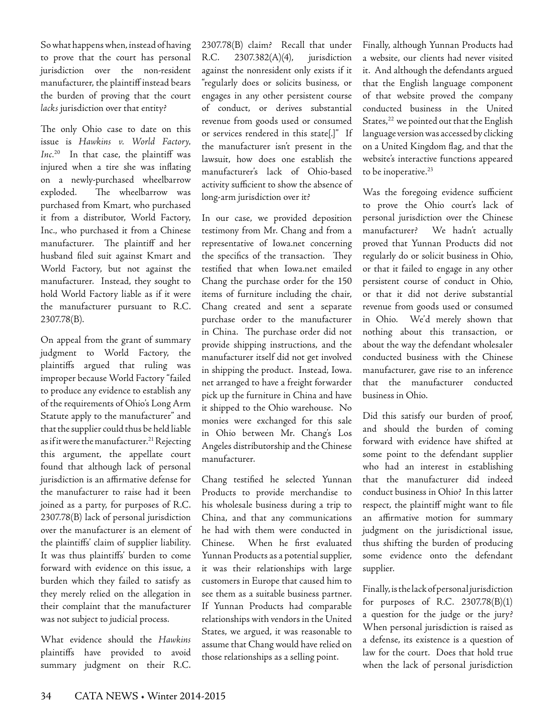So what happens when, instead of having to prove that the court has personal jurisdiction over the non-resident manufacturer, the plaintiff instead bears the burden of proving that the court *lacks* jurisdiction over that entity?

The only Ohio case to date on this issue is *Hawkins v. World Factory,*  Inc.<sup>20</sup> In that case, the plaintiff was injured when a tire she was inflating on a newly-purchased wheelbarrow exploded. The wheelbarrow was purchased from Kmart, who purchased it from a distributor, World Factory, Inc., who purchased it from a Chinese manufacturer. The plaintiff and her husband filed suit against Kmart and World Factory, but not against the manufacturer. Instead, they sought to hold World Factory liable as if it were the manufacturer pursuant to R.C. 2307.78(B).

On appeal from the grant of summary judgment to World Factory, the plaintiffs argued that ruling was improper because World Factory "failed to produce any evidence to establish any of the requirements of Ohio's Long Arm Statute apply to the manufacturer" and that the supplier could thus be held liable as if it were the manufacturer.<sup>21</sup> Rejecting this argument, the appellate court found that although lack of personal jurisdiction is an affirmative defense for the manufacturer to raise had it been joined as a party, for purposes of R.C. 2307.78(B) lack of personal jurisdiction over the manufacturer is an element of the plaintiffs' claim of supplier liability. It was thus plaintiffs' burden to come forward with evidence on this issue, a burden which they failed to satisfy as they merely relied on the allegation in their complaint that the manufacturer was not subject to judicial process.

What evidence should the *Hawkins*  plaintiffs have provided to avoid summary judgment on their R.C.

2307.78(B) claim? Recall that under R.C. 2307.382(A)(4), jurisdiction against the nonresident only exists if it "regularly does or solicits business, or engages in any other persistent course of conduct, or derives substantial revenue from goods used or consumed or services rendered in this state[.]" If the manufacturer isn't present in the lawsuit, how does one establish the manufacturer's lack of Ohio-based activity sufficient to show the absence of long-arm jurisdiction over it?

In our case, we provided deposition testimony from Mr. Chang and from a representative of Iowa.net concerning the specifics of the transaction. They testified that when Iowa.net emailed Chang the purchase order for the 150 items of furniture including the chair, Chang created and sent a separate purchase order to the manufacturer in China. The purchase order did not provide shipping instructions, and the manufacturer itself did not get involved in shipping the product. Instead, Iowa. net arranged to have a freight forwarder pick up the furniture in China and have it shipped to the Ohio warehouse. No monies were exchanged for this sale in Ohio between Mr. Chang's Los Angeles distributorship and the Chinese manufacturer.

Chang testified he selected Yunnan Products to provide merchandise to his wholesale business during a trip to China, and that any communications he had with them were conducted in Chinese. When he first evaluated Yunnan Products as a potential supplier, it was their relationships with large customers in Europe that caused him to see them as a suitable business partner. If Yunnan Products had comparable relationships with vendors in the United States, we argued, it was reasonable to assume that Chang would have relied on those relationships as a selling point.

Finally, although Yunnan Products had a website, our clients had never visited it. And although the defendants argued that the English language component of that website proved the company conducted business in the United States,<sup>22</sup> we pointed out that the English language version was accessed by clicking on a United Kingdom flag, and that the website's interactive functions appeared to be inoperative.<sup>23</sup>

Was the foregoing evidence sufficient to prove the Ohio court's lack of personal jurisdiction over the Chinese manufacturer? We hadn't actually proved that Yunnan Products did not regularly do or solicit business in Ohio, or that it failed to engage in any other persistent course of conduct in Ohio, or that it did not derive substantial revenue from goods used or consumed in Ohio. We'd merely shown that nothing about this transaction, or about the way the defendant wholesaler conducted business with the Chinese manufacturer, gave rise to an inference that the manufacturer conducted business in Ohio.

Did this satisfy our burden of proof, and should the burden of coming forward with evidence have shifted at some point to the defendant supplier who had an interest in establishing that the manufacturer did indeed conduct business in Ohio? In this latter respect, the plaintiff might want to file an affirmative motion for summary judgment on the jurisdictional issue, thus shifting the burden of producing some evidence onto the defendant supplier.

Finally, is the lack of personal jurisdiction for purposes of R.C. 2307.78(B)(1) a question for the judge or the jury? When personal jurisdiction is raised as a defense, its existence is a question of law for the court. Does that hold true when the lack of personal jurisdiction